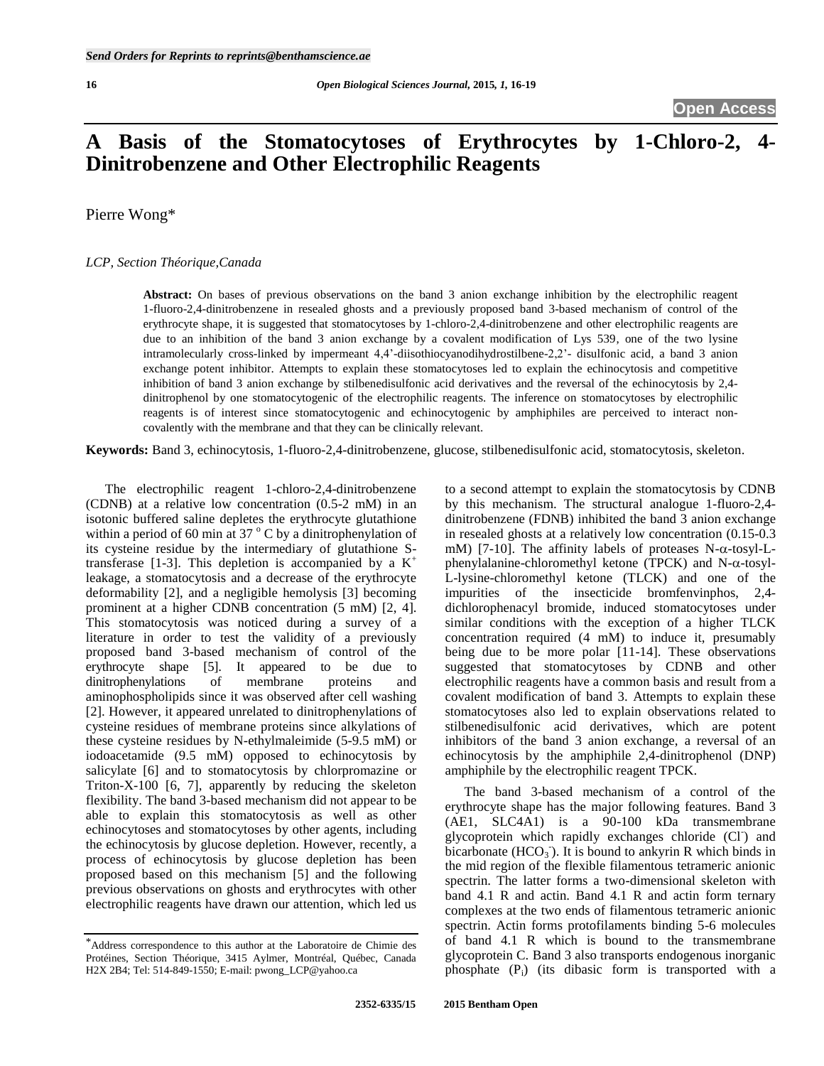# **A Basis of the Stomatocytoses of Erythrocytes by 1-Chloro-2, 4- Dinitrobenzene and Other Electrophilic Reagents**

Pierre Wong\*

# *LCP, Section Théorique,Canada*

**Abstract:** On bases of previous observations on the band 3 anion exchange inhibition by the electrophilic reagent 1-fluoro-2,4-dinitrobenzene in resealed ghosts and a previously proposed band 3-based mechanism of control of the erythrocyte shape, it is suggested that stomatocytoses by 1-chloro-2,4-dinitrobenzene and other electrophilic reagents are due to an inhibition of the band 3 anion exchange by a covalent modification of Lys 539, one of the two lysine intramolecularly cross-linked by impermeant 4,4'-diisothiocyanodihydrostilbene-2,2'- disulfonic acid, a band 3 anion exchange potent inhibitor. Attempts to explain these stomatocytoses led to explain the echinocytosis and competitive inhibition of band 3 anion exchange by stilbenedisulfonic acid derivatives and the reversal of the echinocytosis by 2,4 dinitrophenol by one stomatocytogenic of the electrophilic reagents. The inference on stomatocytoses by electrophilic reagents is of interest since stomatocytogenic and echinocytogenic by amphiphiles are perceived to interact noncovalently with the membrane and that they can be clinically relevant.

**Keywords:** Band 3, echinocytosis, 1-fluoro-2,4-dinitrobenzene, glucose, stilbenedisulfonic acid, stomatocytosis, skeleton.

The electrophilic reagent 1-chloro-2,4-dinitrobenzene (CDNB) at a relative low concentration (0.5-2 mM) in an isotonic buffered saline depletes the erythrocyte glutathione within a period of 60 min at 37 $\degree$ C by a dinitrophenylation of its cysteine residue by the intermediary of glutathione Stransferase [1-3]. This depletion is accompanied by a  $K^+$ leakage, a stomatocytosis and a decrease of the erythrocyte deformability [2], and a negligible hemolysis [3] becoming prominent at a higher CDNB concentration (5 mM) [2, 4]. This stomatocytosis was noticed during a survey of a literature in order to test the validity of a previously proposed band 3-based mechanism of control of the erythrocyte shape [5]. It appeared to be due to dinitrophenylations of membrane proteins and aminophospholipids since it was observed after cell washing [2]. However, it appeared unrelated to dinitrophenylations of cysteine residues of membrane proteins since alkylations of these cysteine residues by N-ethylmaleimide (5-9.5 mM) or iodoacetamide (9.5 mM) opposed to echinocytosis by salicylate [6] and to stomatocytosis by chlorpromazine or Triton-X-100 [6, 7], apparently by reducing the skeleton flexibility. The band 3-based mechanism did not appear to be able to explain this stomatocytosis as well as other echinocytoses and stomatocytoses by other agents, including the echinocytosis by glucose depletion. However, recently, a process of echinocytosis by glucose depletion has been proposed based on this mechanism [5] and the following previous observations on ghosts and erythrocytes with other electrophilic reagents have drawn our attention, which led us

to a second attempt to explain the stomatocytosis by CDNB by this mechanism. The structural analogue 1-fluoro-2,4 dinitrobenzene (FDNB) inhibited the band 3 anion exchange in resealed ghosts at a relatively low concentration (0.15-0.3 mM) [7-10]. The affinity labels of proteases N- $\alpha$ -tosyl-Lphenylalanine-chloromethyl ketone (TPCK) and N- $\alpha$ -tosyl-L-lysine-chloromethyl ketone (TLCK) and one of the impurities of the insecticide bromfenvinphos, 2,4 dichlorophenacyl bromide, induced stomatocytoses under similar conditions with the exception of a higher TLCK concentration required (4 mM) to induce it, presumably being due to be more polar [11-14]. These observations suggested that stomatocytoses by CDNB and other electrophilic reagents have a common basis and result from a covalent modification of band 3. Attempts to explain these stomatocytoses also led to explain observations related to stilbenedisulfonic acid derivatives, which are potent inhibitors of the band 3 anion exchange, a reversal of an echinocytosis by the amphiphile 2,4-dinitrophenol (DNP) amphiphile by the electrophilic reagent TPCK.

The band 3-based mechanism of a control of the erythrocyte shape has the major following features. Band 3 (AE1, SLC4A1) is a 90-100 kDa transmembrane glycoprotein which rapidly exchanges chloride (Cl<sup>-</sup>) and bicarbonate  $(HCO<sub>3</sub>)$ . It is bound to ankyrin R which binds in the mid region of the flexible filamentous tetrameric anionic spectrin. The latter forms a two-dimensional skeleton with band 4.1 R and actin. Band 4.1 R and actin form ternary complexes at the two ends of filamentous tetrameric anionic spectrin. Actin forms protofilaments binding 5-6 molecules of band 4.1 R which is bound to the transmembrane glycoprotein C. Band 3 also transports endogenous inorganic phosphate (Pi) (its dibasic form is transported with a

<sup>\*</sup>Address correspondence to this author at the Laboratoire de Chimie des Protéines, Section Théorique, 3415 Aylmer, Montréal, Québec, Canada H2X 2B4; Tel: 514-849-1550; E-mail: pwong\_LCP@yahoo.ca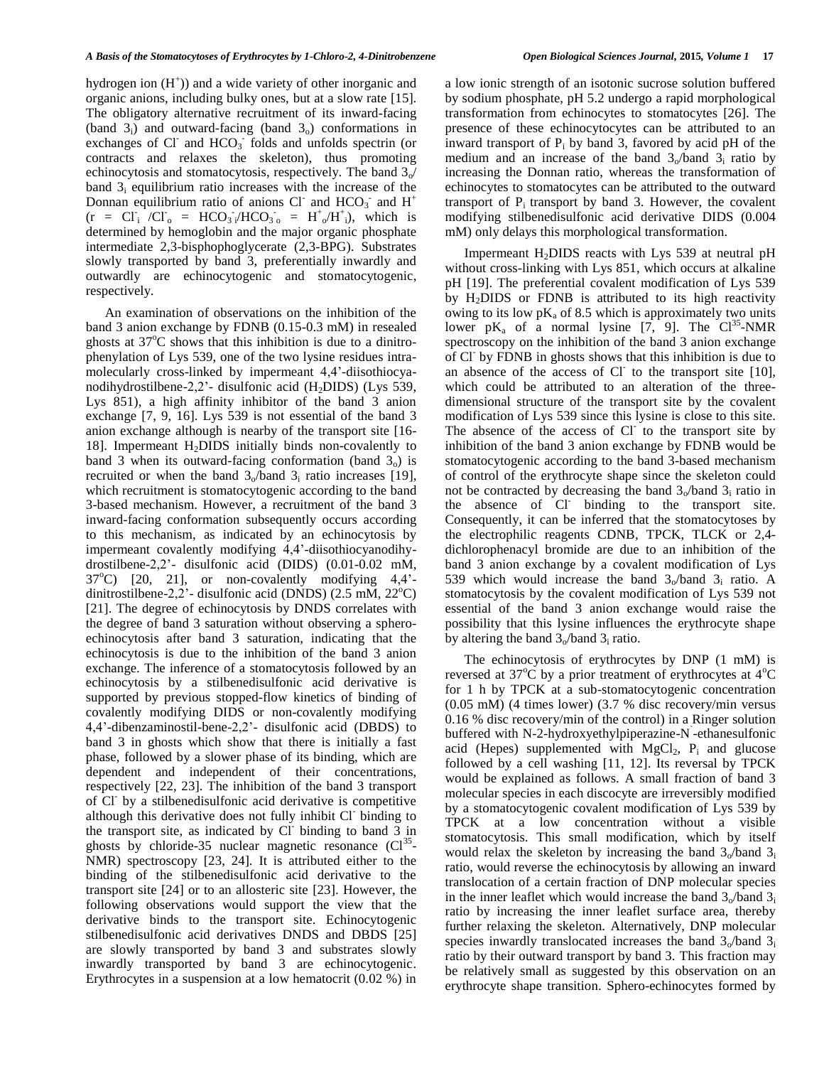hydrogen ion  $(H<sup>+</sup>)$ ) and a wide variety of other inorganic and organic anions, including bulky ones, but at a slow rate [15]. The obligatory alternative recruitment of its inward-facing (band  $3_i$ ) and outward-facing (band  $3_o$ ) conformations in exchanges of Cl<sup>-</sup> and HCO<sub>3</sub> folds and unfolds spectrin (or contracts and relaxes the skeleton), thus promoting echinocytosis and stomatocytosis, respectively. The band  $3<sub>o</sub>$ / band  $3<sub>i</sub>$  equilibrium ratio increases with the increase of the Donnan equilibrium ratio of anions Cl<sup>-</sup> and HCO<sub>3</sub> and H<sup>+</sup>  $(r = CI<sub>i</sub> /CI<sub>o</sub> = HCO<sub>3</sub>/HCO<sub>3o</sub> = H<sup>+</sup><sub>o</sub>/H<sup>+</sup><sub>i</sub>), which is$ determined by hemoglobin and the major organic phosphate intermediate 2,3-bisphophoglycerate (2,3-BPG). Substrates slowly transported by band 3, preferentially inwardly and outwardly are echinocytogenic and stomatocytogenic, respectively.

An examination of observations on the inhibition of the band 3 anion exchange by FDNB (0.15-0.3 mM) in resealed ghosts at  $37^{\circ}$ C shows that this inhibition is due to a dinitrophenylation of Lys 539, one of the two lysine residues intramolecularly cross-linked by impermeant 4,4'-diisothiocyanodihydrostilbene-2,2'- disulfonic acid  $(H<sub>2</sub>DIDS)$  (Lys 539, Lys 851), a high affinity inhibitor of the band 3 anion exchange [7, 9, 16]. Lys 539 is not essential of the band 3 anion exchange although is nearby of the transport site [16- 18]. Impermeant H2DIDS initially binds non-covalently to band 3 when its outward-facing conformation (band  $3<sub>o</sub>$ ) is recruited or when the band  $3/6$  and  $3$  ratio increases [19], which recruitment is stomatocytogenic according to the band 3-based mechanism. However, a recruitment of the band 3 inward-facing conformation subsequently occurs according to this mechanism, as indicated by an echinocytosis by impermeant covalently modifying 4,4'-diisothiocyanodihydrostilbene-2,2'- disulfonic acid (DIDS) (0.01-0.02 mM,  $37^{\circ}$ C) [20, 21], or non-covalently modifying 4,4'dinitrostilbene-2,2'- disulfonic acid (DNDS) (2.5 mM,  $22^{\circ}$ C) [21]. The degree of echinocytosis by DNDS correlates with the degree of band 3 saturation without observing a spheroechinocytosis after band 3 saturation, indicating that the echinocytosis is due to the inhibition of the band 3 anion exchange. The inference of a stomatocytosis followed by an echinocytosis by a stilbenedisulfonic acid derivative is supported by previous stopped-flow kinetics of binding of covalently modifying DIDS or non-covalently modifying 4,4'-dibenzaminostil-bene-2,2'- disulfonic acid (DBDS) to band 3 in ghosts which show that there is initially a fast phase, followed by a slower phase of its binding, which are dependent and independent of their concentrations, respectively [22, 23]. The inhibition of the band 3 transport of Cl-by a stilbenedisulfonic acid derivative is competitive although this derivative does not fully inhibit Cl binding to the transport site, as indicated by  $\overrightarrow{CI}$  binding to band  $\overrightarrow{3}$  in ghosts by chloride-35 nuclear magnetic resonance  $(Cl^{35})$ NMR) spectroscopy [23, 24]. It is attributed either to the binding of the stilbenedisulfonic acid derivative to the transport site [24] or to an allosteric site [23]. However, the following observations would support the view that the derivative binds to the transport site. Echinocytogenic stilbenedisulfonic acid derivatives DNDS and DBDS [25] are slowly transported by band 3 and substrates slowly inwardly transported by band 3 are echinocytogenic. Erythrocytes in a suspension at a low hematocrit (0.02 %) in

a low ionic strength of an isotonic sucrose solution buffered by sodium phosphate, pH 5.2 undergo a rapid morphological transformation from echinocytes to stomatocytes [26]. The presence of these echinocytocytes can be attributed to an inward transport of  $P_i$  by band 3, favored by acid pH of the medium and an increase of the band  $3<sub>o</sub>/band$   $3<sub>i</sub>$  ratio by increasing the Donnan ratio, whereas the transformation of echinocytes to stomatocytes can be attributed to the outward transport of  $P_i$  transport by band 3. However, the covalent modifying stilbenedisulfonic acid derivative DIDS (0.004 mM) only delays this morphological transformation.

Impermeant  $H_2$ DIDS reacts with Lys 539 at neutral pH without cross-linking with Lys 851, which occurs at alkaline pH [19]. The preferential covalent modification of Lys 539 by H2DIDS or FDNB is attributed to its high reactivity owing to its low  $pK_a$  of 8.5 which is approximately two units lower  $pK_a$  of a normal lysine  $[7, 9]$ . The Cl<sup>35</sup>-NMR spectroscopy on the inhibition of the band 3 anion exchange of Cl-by FDNB in ghosts shows that this inhibition is due to an absence of the access of Cl<sup>-</sup> to the transport site [10], which could be attributed to an alteration of the threedimensional structure of the transport site by the covalent modification of Lys 539 since this lysine is close to this site. The absence of the access of Cl to the transport site by inhibition of the band 3 anion exchange by FDNB would be stomatocytogenic according to the band 3-based mechanism of control of the erythrocyte shape since the skeleton could not be contracted by decreasing the band  $3<sub>o</sub>/band 3<sub>i</sub>$  ratio in the absence of Cl binding to the transport site. Consequently, it can be inferred that the stomatocytoses by the electrophilic reagents CDNB, TPCK, TLCK or 2,4 dichlorophenacyl bromide are due to an inhibition of the band 3 anion exchange by a covalent modification of Lys 539 which would increase the band  $3<sub>o</sub>/band$   $3<sub>i</sub>$  ratio. A stomatocytosis by the covalent modification of Lys 539 not essential of the band 3 anion exchange would raise the possibility that this lysine influences the erythrocyte shape by altering the band  $3<sub>o</sub>/band 3<sub>i</sub>$  ratio.

The echinocytosis of erythrocytes by DNP (1 mM) is reversed at  $37^{\circ}$ C by a prior treatment of erythrocytes at  $4^{\circ}$ C for 1 h by TPCK at a sub-stomatocytogenic concentration (0.05 mM) (4 times lower) (3.7 % disc recovery/min versus 0.16 % disc recovery/min of the control) in a Ringer solution buffered with N-2-hydroxyethylpiperazine-N -ethanesulfonic acid (Hepes) supplemented with  $MgCl<sub>2</sub>$ ,  $P<sub>i</sub>$  and glucose followed by a cell washing [11, 12]. Its reversal by TPCK would be explained as follows. A small fraction of band 3 molecular species in each discocyte are irreversibly modified by a stomatocytogenic covalent modification of Lys 539 by TPCK at a low concentration without a visible stomatocytosis. This small modification, which by itself would relax the skeleton by increasing the band  $3_0$ /band  $3_1$ ratio, would reverse the echinocytosis by allowing an inward translocation of a certain fraction of DNP molecular species in the inner leaflet which would increase the band  $3_0$ /band  $3_1$ ratio by increasing the inner leaflet surface area, thereby further relaxing the skeleton. Alternatively, DNP molecular species inwardly translocated increases the band  $3<sub>o</sub>/band$   $3<sub>i</sub>$ ratio by their outward transport by band 3. This fraction may be relatively small as suggested by this observation on an erythrocyte shape transition. Sphero-echinocytes formed by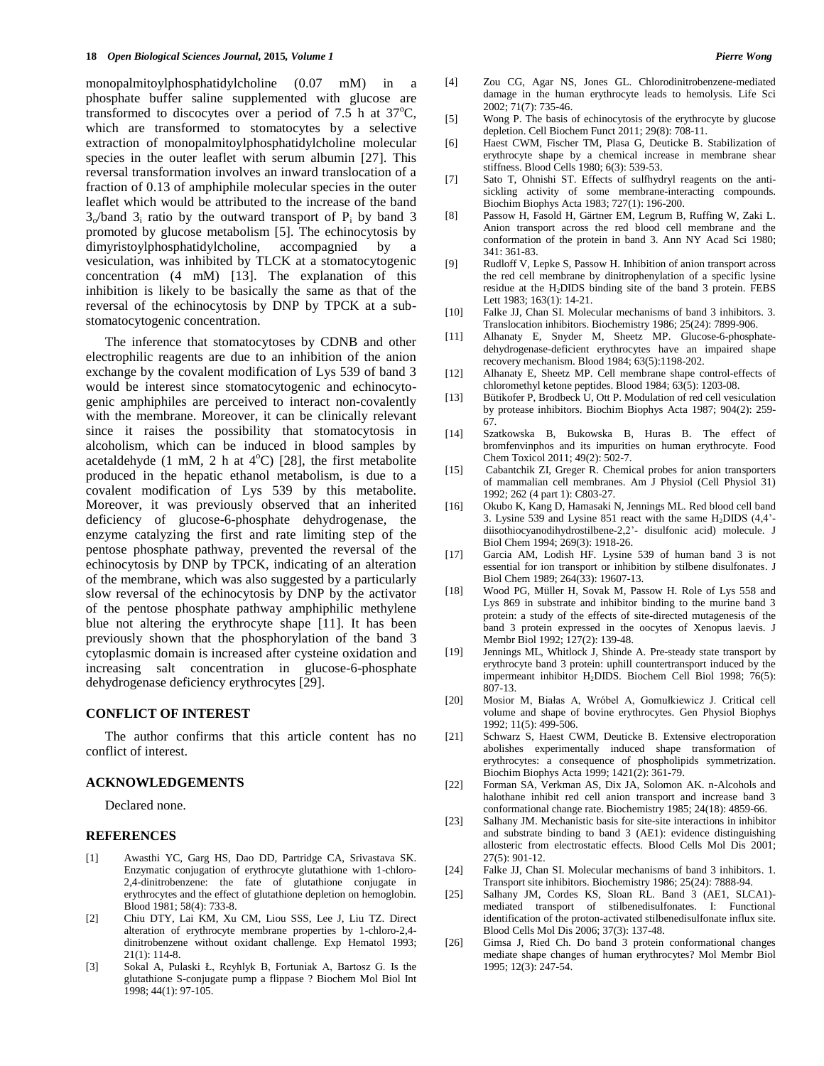monopalmitoylphosphatidylcholine (0.07 mM) in a phosphate buffer saline supplemented with glucose are transformed to discocytes over a period of 7.5 h at  $37^{\circ}$ C, which are transformed to stomatocytes by a selective extraction of monopalmitoylphosphatidylcholine molecular species in the outer leaflet with serum albumin [27]. This reversal transformation involves an inward translocation of a fraction of 0.13 of amphiphile molecular species in the outer leaflet which would be attributed to the increase of the band  $3<sub>o</sub>/band$  3<sub>i</sub> ratio by the outward transport of P<sub>i</sub> by band 3 promoted by glucose metabolism [5]. The echinocytosis by dimyristoylphosphatidylcholine, accompagnied by a vesiculation, was inhibited by TLCK at a stomatocytogenic concentration (4 mM) [13]. The explanation of this inhibition is likely to be basically the same as that of the reversal of the echinocytosis by DNP by TPCK at a substomatocytogenic concentration.

The inference that stomatocytoses by CDNB and other electrophilic reagents are due to an inhibition of the anion exchange by the covalent modification of Lys 539 of band 3 would be interest since stomatocytogenic and echinocytogenic amphiphiles are perceived to interact non-covalently with the membrane. Moreover, it can be clinically relevant since it raises the possibility that stomatocytosis in alcoholism, which can be induced in blood samples by acetaldehyde (1 mM, 2 h at  $4^{\circ}$ C) [28], the first metabolite produced in the hepatic ethanol metabolism, is due to a covalent modification of Lys 539 by this metabolite. Moreover, it was previously observed that an inherited deficiency of glucose-6-phosphate dehydrogenase, the enzyme catalyzing the first and rate limiting step of the pentose phosphate pathway, prevented the reversal of the echinocytosis by DNP by TPCK, indicating of an alteration of the membrane, which was also suggested by a particularly slow reversal of the echinocytosis by DNP by the activator of the pentose phosphate pathway amphiphilic methylene blue not altering the erythrocyte shape [11]. It has been previously shown that the phosphorylation of the band 3 cytoplasmic domain is increased after cysteine oxidation and increasing salt concentration in glucose-6-phosphate dehydrogenase deficiency erythrocytes [29].

# **CONFLICT OF INTEREST**

The author confirms that this article content has no conflict of interest.

### **ACKNOWLEDGEMENTS**

Declared none.

# **REFERENCES**

- [1] Awasthi YC, Garg HS, Dao DD, Partridge CA, Srivastava SK. Enzymatic conjugation of erythrocyte glutathione with 1-chloro-2,4-dinitrobenzene: the fate of glutathione conjugate in erythrocytes and the effect of glutathione depletion on hemoglobin. Blood 1981; 58(4): 733-8.
- [2] Chiu DTY, Lai KM, Xu CM, Liou SSS, Lee J, Liu TZ. Direct alteration of erythrocyte membrane properties by 1-chloro-2,4 dinitrobenzene without oxidant challenge. Exp Hematol 1993; 21(1): 114-8.
- [3] Sokal A, Pulaski Ł, Rcyhlyk B, Fortuniak A, Bartosz G. Is the glutathione S-conjugate pump a flippase ? Biochem Mol Biol Int 1998; 44(1): 97-105.
- [4] Zou CG, Agar NS, Jones GL. Chlorodinitrobenzene-mediated damage in the human erythrocyte leads to hemolysis. Life Sci 2002; 71(7): 735-46.
- [5] Wong P. The basis of echinocytosis of the erythrocyte by glucose depletion. Cell Biochem Funct 2011; 29(8): 708-11.
- [6] Haest CWM, Fischer TM, Plasa G, Deuticke B. Stabilization of erythrocyte shape by a chemical increase in membrane shear stiffness. Blood Cells 1980; 6(3): 539-53.
- [7] Sato T, Ohnishi ST. Effects of sulfhydryl reagents on the antisickling activity of some membrane-interacting compounds. Biochim Biophys Acta 1983; 727(1): 196-200.
- [8] Passow H, Fasold H, Gärtner EM, Legrum B, Ruffing W, Zaki L. Anion transport across the red blood cell membrane and the conformation of the protein in band 3. Ann NY Acad Sci 1980; 341: 361-83.
- [9] Rudloff V, Lepke S, Passow H. Inhibition of anion transport across the red cell membrane by dinitrophenylation of a specific lysine residue at the H<sub>2</sub>DIDS binding site of the band 3 protein. FEBS Lett 1983; 163(1): 14-21.
- [10] Falke JJ, Chan SI. Molecular mechanisms of band 3 inhibitors. 3. Translocation inhibitors. Biochemistry 1986; 25(24): 7899-906.
- [11] Alhanaty E, Snyder M, Sheetz MP. Glucose-6-phosphatedehydrogenase-deficient erythrocytes have an impaired shape recovery mechanism. Blood 1984; 63(5):1198-202.
- [12] Alhanaty E, Sheetz MP. Cell membrane shape control-effects of chloromethyl ketone peptides. Blood 1984; 63(5): 1203-08.
- [13] Bütikofer P, Brodbeck U, Ott P. Modulation of red cell vesiculation by protease inhibitors. Biochim Biophys Acta 1987; 904(2): 259- 67.
- [14] Szatkowska B, Bukowska B, Huras B. The effect of bromfenvinphos and its impurities on human erythrocyte. Food Chem Toxicol 2011; 49(2): 502-7.
- [15] Cabantchik ZI, Greger R. Chemical probes for anion transporters of mammalian cell membranes. Am J Physiol (Cell Physiol 31) 1992; 262 (4 part 1): C803-27.
- [16] Okubo K, Kang D, Hamasaki N, Jennings ML. Red blood cell band 3. Lysine 539 and Lysine 851 react with the same  $H_2$ DIDS (4,4'diisothiocyanodihydrostilbene-2,2'- disulfonic acid) molecule. J Biol Chem 1994; 269(3): 1918-26.
- [17] Garcia AM, Lodish HF. Lysine 539 of human band 3 is not essential for ion transport or inhibition by stilbene disulfonates. J Biol Chem 1989; 264(33): 19607-13.
- [18] Wood PG, Müller H, Sovak M, Passow H. Role of Lys 558 and Lys 869 in substrate and inhibitor binding to the murine band 3 protein: a study of the effects of site-directed mutagenesis of the band 3 protein expressed in the oocytes of Xenopus laevis. J Membr Biol 1992; 127(2): 139-48.
- [19] Jennings ML, Whitlock J, Shinde A. Pre-steady state transport by erythrocyte band 3 protein: uphill countertransport induced by the impermeant inhibitor H2DIDS. Biochem Cell Biol 1998; 76(5): 807-13.
- [20] Mosior M, Białas A, Wróbel A, Gomułkiewicz J. Critical cell volume and shape of bovine erythrocytes. Gen Physiol Biophys 1992; 11(5): 499-506.
- [21] Schwarz S, Haest CWM, Deuticke B. Extensive electroporation abolishes experimentally induced shape transformation of erythrocytes: a consequence of phospholipids symmetrization. Biochim Biophys Acta 1999; 1421(2): 361-79.
- [22] Forman SA, Verkman AS, Dix JA, Solomon AK. n-Alcohols and halothane inhibit red cell anion transport and increase band 3 conformational change rate. Biochemistry 1985; 24(18): 4859-66.
- [23] Salhany JM. Mechanistic basis for site-site interactions in inhibitor and substrate binding to band 3 (AE1): evidence distinguishing allosteric from electrostatic effects. Blood Cells Mol Dis 2001; 27(5): 901-12.
- [24] Falke JJ, Chan SI. Molecular mechanisms of band 3 inhibitors. 1. Transport site inhibitors. Biochemistry 1986; 25(24): 7888-94.
- [25] Salhany JM, Cordes KS, Sloan RL. Band 3 (AE1, SLCA1)mediated transport of stilbenedisulfonates. I: Functional identification of the proton-activated stilbenedisulfonate influx site. Blood Cells Mol Dis 2006; 37(3): 137-48.
- [26] Gimsa J, Ried Ch. Do band 3 protein conformational changes mediate shape changes of human erythrocytes? Mol Membr Biol 1995; 12(3): 247-54.